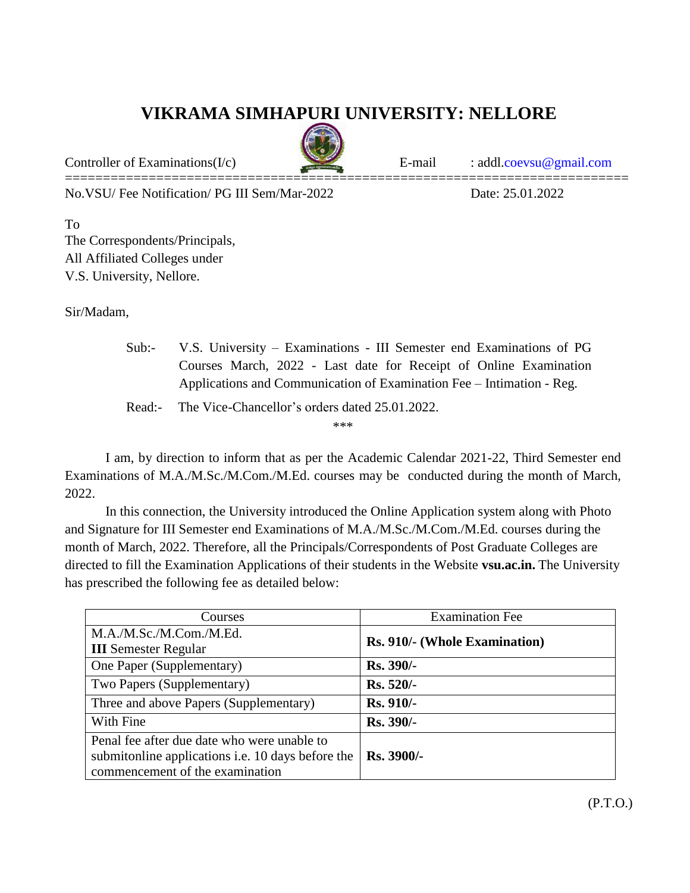## **VIKRAMA SIMHAPURI UNIVERSITY: NELLORE**

==========================================================================

Controller of Examinations(I/c) E-mail : addl[.coevsu@gmail.com](mailto:coevsu@gmail.com)

No.VSU/ Fee Notification/ PG III Sem/Mar-2022 Date: 25.01.2022

To The Correspondents/Principals, All Affiliated Colleges under V.S. University, Nellore.

Sir/Madam,

|                           | Sub: V.S. University – Examinations - III Semester end Examinations of PG |  |
|---------------------------|---------------------------------------------------------------------------|--|
|                           | Courses March, 2022 - Last date for Receipt of Online Examination         |  |
|                           | Applications and Communication of Examination Fee – Intimation - Reg.     |  |
| $\mathbf{D}_{\mathbf{0}}$ | The Vice Chancellor's orders dated 25.01.2022                             |  |

Read:- The Vice-Chancellor's orders dated 25.01.2022.

\*\*\*

I am, by direction to inform that as per the Academic Calendar 2021-22, Third Semester end Examinations of M.A./M.Sc./M.Com./M.Ed. courses may be conducted during the month of March, 2022.

In this connection, the University introduced the Online Application system along with Photo and Signature for III Semester end Examinations of M.A./M.Sc./M.Com./M.Ed. courses during the month of March, 2022. Therefore, all the Principals/Correspondents of Post Graduate Colleges are directed to fill the Examination Applications of their students in the Website **vsu.ac.in.** The University has prescribed the following fee as detailed below:

| Courses                                                  | <b>Examination Fee</b>        |  |
|----------------------------------------------------------|-------------------------------|--|
| M.A./M.Sc./M.Com./M.Ed.                                  | Rs. 910/- (Whole Examination) |  |
| <b>III</b> Semester Regular                              |                               |  |
| One Paper (Supplementary)                                | <b>Rs. 390/-</b>              |  |
| Two Papers (Supplementary)                               | Rs. 520/-                     |  |
| Three and above Papers (Supplementary)                   | Rs. 910/-                     |  |
| With Fine                                                | Rs. 390/-                     |  |
| Penal fee after due date who were unable to              |                               |  |
| submitunline applications <i>i.e.</i> 10 days before the | $Rs. 3900/-$                  |  |
| commencement of the examination                          |                               |  |